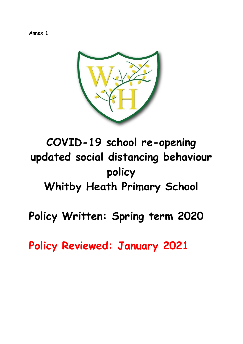**Annex 1**



## **COVID-19 school re-opening updated social distancing behaviour policy Whitby Heath Primary School**

**Policy Written: Spring term 2020**

**Policy Reviewed: January 2021**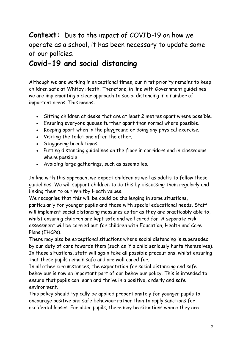## **Context:** Due to the impact of COVID-19 on how we operate as a school, it has been necessary to update some of our policies.

## **Covid-19 and social distancing**

Although we are working in exceptional times, our first priority remains to keep children safe at Whitby Heath. Therefore, in line with Government guidelines we are implementing a clear approach to social distancing in a number of important areas. This means:

- Sitting children at desks that are at least 2 metres apart where possible.
- Ensuring everyone queues further apart than normal where possible.
- Keeping apart when in the playground or doing any physical exercise.
- Visiting the toilet one after the other.
- Staggering break times.
- Putting distancing guidelines on the floor in corridors and in classrooms where possible
- Avoiding large gatherings, such as assemblies.

In line with this approach, we expect children as well as adults to follow these guidelines. We will support children to do this by discussing them regularly and linking them to our Whitby Heath values.

We recognise that this will be could be challenging in some situations, particularly for younger pupils and those with special educational needs. Staff will implement social distancing measures as far as they are practicably able to, whilst ensuring children are kept safe and well cared for. A separate risk assessment will be carried out for children with Education, Health and Care Plans (EHCPs).

There may also be exceptional situations where social distancing is superseded by our duty of care towards them (such as if a child seriously hurts themselves). In these situations, staff will again take all possible precautions, whilst ensuring that these pupils remain safe and are well cared for.

In all other circumstances, the expectation for social distancing and safe behaviour is now an important part of our behaviour policy. This is intended to ensure that pupils can learn and thrive in a positive, orderly and safe environment.

This policy should typically be applied proportionately for younger pupils to encourage positive and safe behaviour rather than to apply sanctions for accidental lapses. For older pupils, there may be situations where they are